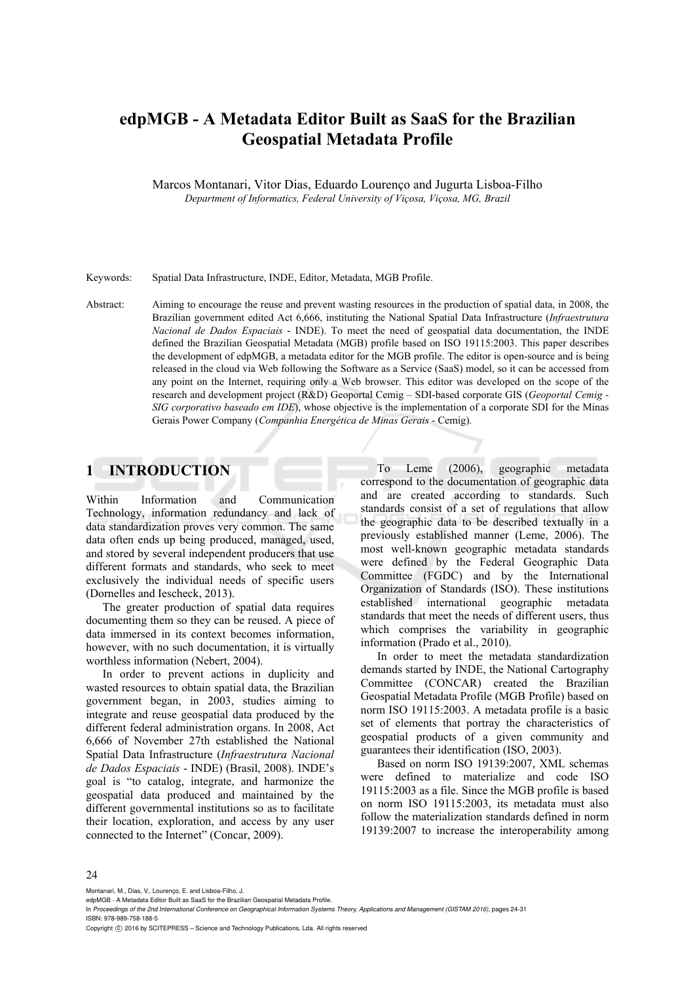# **edpMGB - A Metadata Editor Built as SaaS for the Brazilian Geospatial Metadata Profile**

Marcos Montanari, Vitor Dias, Eduardo Lourenço and Jugurta Lisboa-Filho *Department of Informatics, Federal University of Viçosa, Viçosa, MG, Brazil* 

Keywords: Spatial Data Infrastructure, INDE, Editor, Metadata, MGB Profile.

Abstract: Aiming to encourage the reuse and prevent wasting resources in the production of spatial data, in 2008, the Brazilian government edited Act 6,666, instituting the National Spatial Data Infrastructure (*Infraestrutura Nacional de Dados Espaciais* - INDE). To meet the need of geospatial data documentation, the INDE defined the Brazilian Geospatial Metadata (MGB) profile based on ISO 19115:2003. This paper describes the development of edpMGB, a metadata editor for the MGB profile. The editor is open-source and is being released in the cloud via Web following the Software as a Service (SaaS) model, so it can be accessed from any point on the Internet, requiring only a Web browser. This editor was developed on the scope of the research and development project (R&D) Geoportal Cemig – SDI-based corporate GIS (*Geoportal Cemig - SIG corporativo baseado em IDE*), whose objective is the implementation of a corporate SDI for the Minas Gerais Power Company (*Companhia Energética de Minas Gerais* - Cemig).

# **1 INTRODUCTION**

Within Information and Communication Technology, information redundancy and lack of data standardization proves very common. The same data often ends up being produced, managed, used, and stored by several independent producers that use different formats and standards, who seek to meet exclusively the individual needs of specific users (Dornelles and Iescheck, 2013).

The greater production of spatial data requires documenting them so they can be reused. A piece of data immersed in its context becomes information, however, with no such documentation, it is virtually worthless information (Nebert, 2004).

In order to prevent actions in duplicity and wasted resources to obtain spatial data, the Brazilian government began, in 2003, studies aiming to integrate and reuse geospatial data produced by the different federal administration organs. In 2008, Act 6,666 of November 27th established the National Spatial Data Infrastructure (*Infraestrutura Nacional de Dados Espaciais* - INDE) (Brasil, 2008). INDE's goal is "to catalog, integrate, and harmonize the geospatial data produced and maintained by the different governmental institutions so as to facilitate their location, exploration, and access by any user connected to the Internet" (Concar, 2009).

To Leme (2006), geographic metadata correspond to the documentation of geographic data and are created according to standards. Such standards consist of a set of regulations that allow the geographic data to be described textually in a previously established manner (Leme, 2006). The most well-known geographic metadata standards were defined by the Federal Geographic Data Committee (FGDC) and by the International Organization of Standards (ISO). These institutions established international geographic metadata standards that meet the needs of different users, thus which comprises the variability in geographic information (Prado et al., 2010).

In order to meet the metadata standardization demands started by INDE, the National Cartography Committee (CONCAR) created the Brazilian Geospatial Metadata Profile (MGB Profile) based on norm ISO 19115:2003. A metadata profile is a basic set of elements that portray the characteristics of geospatial products of a given community and guarantees their identification (ISO, 2003).

Based on norm ISO 19139:2007, XML schemas were defined to materialize and code ISO 19115:2003 as a file. Since the MGB profile is based on norm ISO 19115:2003, its metadata must also follow the materialization standards defined in norm 19139:2007 to increase the interoperability among

#### 24

Montanari, M., Dias, V., Lourenço, E. and Lisboa-Filho, J.

In *Proceedings of the 2nd International Conference on Geographical Information Systems Theory, Applications and Management (GISTAM 2016)*, pages 24-31 ISBN: 978-989-758-188-5

Copyright (C) 2016 by SCITEPRESS - Science and Technology Publications, Lda. All rights reserved

edpMGB - A Metadata Editor Built as SaaS for the Brazilian Geospatial Metadata Profile.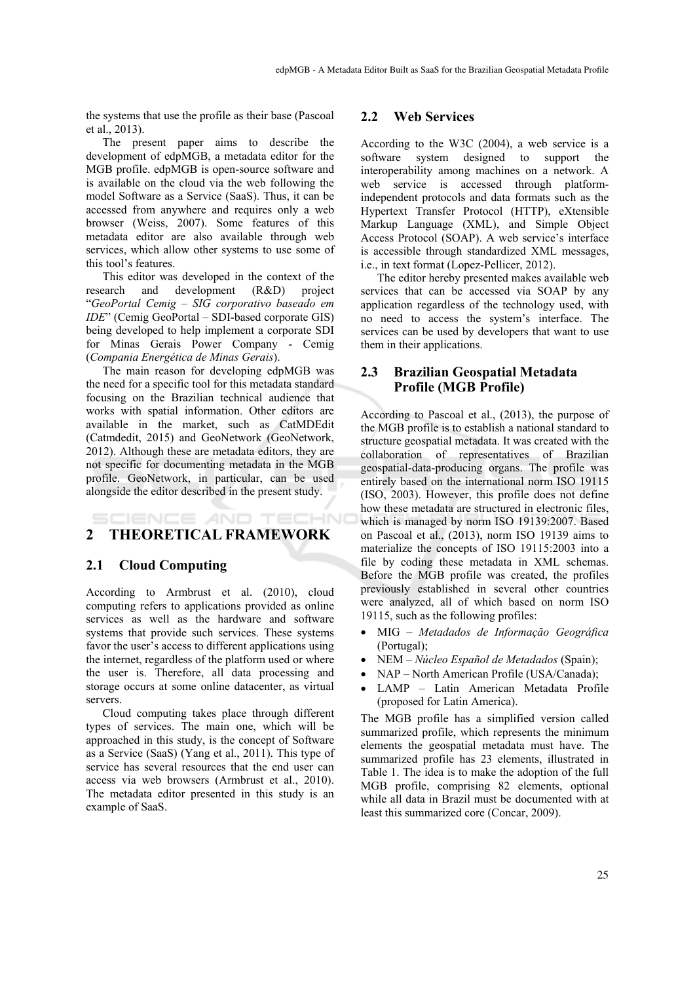the systems that use the profile as their base (Pascoal et al., 2013).

The present paper aims to describe the development of edpMGB, a metadata editor for the MGB profile. edpMGB is open-source software and is available on the cloud via the web following the model Software as a Service (SaaS). Thus, it can be accessed from anywhere and requires only a web browser (Weiss, 2007). Some features of this metadata editor are also available through web services, which allow other systems to use some of this tool's features.

This editor was developed in the context of the research and development (R&D) project "*GeoPortal Cemig – SIG corporativo baseado em IDE*" (Cemig GeoPortal – SDI-based corporate GIS) being developed to help implement a corporate SDI for Minas Gerais Power Company - Cemig (*Compania Energética de Minas Gerais*).

The main reason for developing edpMGB was the need for a specific tool for this metadata standard focusing on the Brazilian technical audience that works with spatial information. Other editors are available in the market, such as CatMDEdit (Catmdedit, 2015) and GeoNetwork (GeoNetwork, 2012). Although these are metadata editors, they are not specific for documenting metadata in the MGB profile. GeoNetwork, in particular, can be used alongside the editor described in the present study.

# **IENCE AND TECHNO 2 THEORETICAL FRAMEWORK**

### **2.1 Cloud Computing**

According to Armbrust et al. (2010), cloud computing refers to applications provided as online services as well as the hardware and software systems that provide such services. These systems favor the user's access to different applications using the internet, regardless of the platform used or where the user is. Therefore, all data processing and storage occurs at some online datacenter, as virtual servers.

Cloud computing takes place through different types of services. The main one, which will be approached in this study, is the concept of Software as a Service (SaaS) (Yang et al., 2011). This type of service has several resources that the end user can access via web browsers (Armbrust et al., 2010). The metadata editor presented in this study is an example of SaaS.

#### **2.2 Web Services**

According to the W3C (2004), a web service is a software system designed to support the interoperability among machines on a network. A web service is accessed through platformindependent protocols and data formats such as the Hypertext Transfer Protocol (HTTP), eXtensible Markup Language (XML), and Simple Object Access Protocol (SOAP). A web service's interface is accessible through standardized XML messages, i.e., in text format (Lopez-Pellicer, 2012).

The editor hereby presented makes available web services that can be accessed via SOAP by any application regardless of the technology used, with no need to access the system's interface. The services can be used by developers that want to use them in their applications.

### **2.3 Brazilian Geospatial Metadata Profile (MGB Profile)**

According to Pascoal et al., (2013), the purpose of the MGB profile is to establish a national standard to structure geospatial metadata. It was created with the collaboration of representatives of Brazilian geospatial-data-producing organs. The profile was entirely based on the international norm ISO 19115 (ISO, 2003). However, this profile does not define how these metadata are structured in electronic files, which is managed by norm ISO 19139:2007. Based on Pascoal et al., (2013), norm ISO 19139 aims to materialize the concepts of ISO 19115:2003 into a file by coding these metadata in XML schemas. Before the MGB profile was created, the profiles previously established in several other countries were analyzed, all of which based on norm ISO 19115, such as the following profiles:

- MIG *Metadados de Informação Geográfica*  (Portugal);
- NEM *Núcleo Español de Metadados* (Spain);
- NAP North American Profile (USA/Canada);
- LAMP Latin American Metadata Profile (proposed for Latin America).

The MGB profile has a simplified version called summarized profile, which represents the minimum elements the geospatial metadata must have. The summarized profile has 23 elements, illustrated in Table 1. The idea is to make the adoption of the full MGB profile, comprising 82 elements, optional while all data in Brazil must be documented with at least this summarized core (Concar, 2009).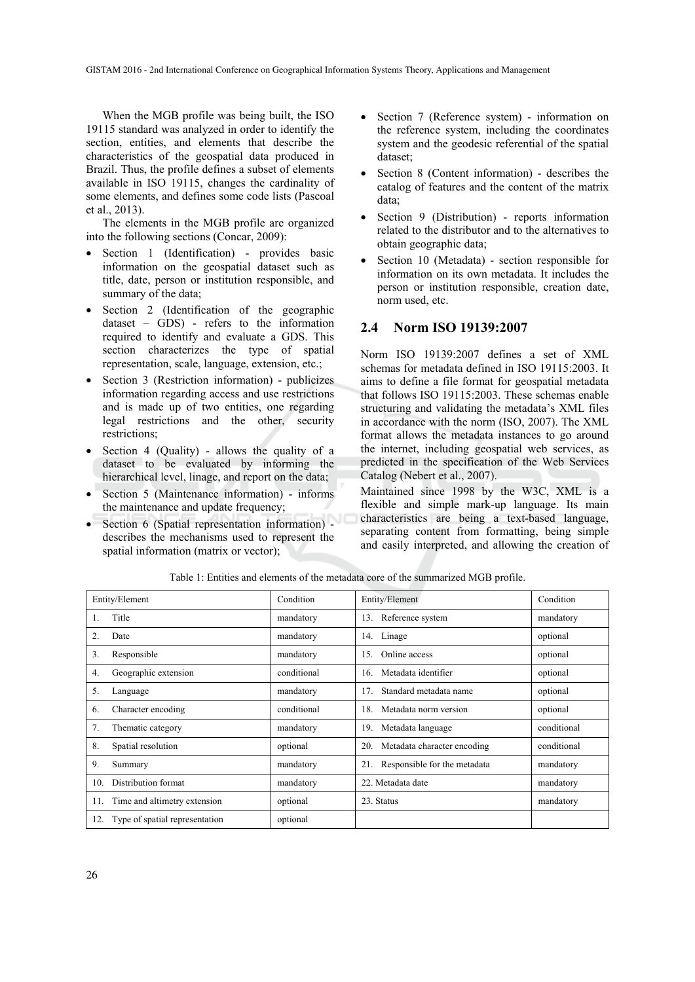When the MGB profile was being built, the ISO 19115 standard was analyzed in order to identify the section, entities, and elements that describe the characteristics of the geospatial data produced in Brazil. Thus, the profile defines a subset of elements available in ISO 19115, changes the cardinality of some elements, and defines some code lists (Pascoal et al., 2013).

The elements in the MGB profile are organized into the following sections (Concar, 2009):

- Section 1 (Identification) provides basic information on the geospatial dataset such as title, date, person or institution responsible, and summary of the data;
- Section 2 (Identification of the geographic dataset – GDS) - refers to the information required to identify and evaluate a GDS. This section characterizes the type of spatial representation, scale, language, extension, etc.;
- Section 3 (Restriction information) publicizes information regarding access and use restrictions and is made up of two entities, one regarding legal restrictions and the other, security restrictions;
- Section 4 (Quality) allows the quality of a dataset to be evaluated by informing the hierarchical level, linage, and report on the data;
- Section 5 (Maintenance information) informs the maintenance and update frequency;
- Section 6 (Spatial representation information) describes the mechanisms used to represent the spatial information (matrix or vector);
- Section 7 (Reference system) information on the reference system, including the coordinates system and the geodesic referential of the spatial dataset;
- Section 8 (Content information) describes the catalog of features and the content of the matrix data;
- Section 9 (Distribution) reports information related to the distributor and to the alternatives to obtain geographic data;
- Section 10 (Metadata) section responsible for information on its own metadata. It includes the person or institution responsible, creation date, norm used, etc.

### **2.4 Norm ISO 19139:2007**

Norm ISO 19139:2007 defines a set of XML schemas for metadata defined in ISO 19115:2003. It aims to define a file format for geospatial metadata that follows ISO 19115:2003. These schemas enable structuring and validating the metadata's XML files in accordance with the norm (ISO, 2007). The XML format allows the metadata instances to go around the internet, including geospatial web services, as predicted in the specification of the Web Services Catalog (Nebert et al., 2007).

Maintained since 1998 by the W3C, XML is a flexible and simple mark-up language. Its main characteristics are being a text-based language, separating content from formatting, being simple and easily interpreted, and allowing the creation of

| Entity/Element                        | Condition   | Entity/Element                     | Condition   |
|---------------------------------------|-------------|------------------------------------|-------------|
| Title<br>1.                           | mandatory   | 13. Reference system               | mandatory   |
| Date<br>2.                            | mandatory   | 14. Linage                         | optional    |
| 3.<br>Responsible                     | mandatory   | Online access<br>15.               | optional    |
| Geographic extension<br>4.            | conditional | Metadata identifier<br>16.         | optional    |
| 5.<br>Language                        | mandatory   | Standard metadata name<br>17.      | optional    |
| Character encoding<br>6.              | conditional | Metadata norm version<br>18.       | optional    |
| 7.<br>Thematic category               | mandatory   | Metadata language<br>19.           | conditional |
| 8.<br>Spatial resolution              | optional    | Metadata character encoding<br>20. | conditional |
| 9.<br>Summary                         | mandatory   | 21. Responsible for the metadata   | mandatory   |
| Distribution format<br>10.            | mandatory   | 22. Metadata date                  | mandatory   |
| 11. Time and altimetry extension      | optional    | 23. Status                         | mandatory   |
| Type of spatial representation<br>12. | optional    |                                    |             |

Table 1: Entities and elements of the metadata core of the summarized MGB profile.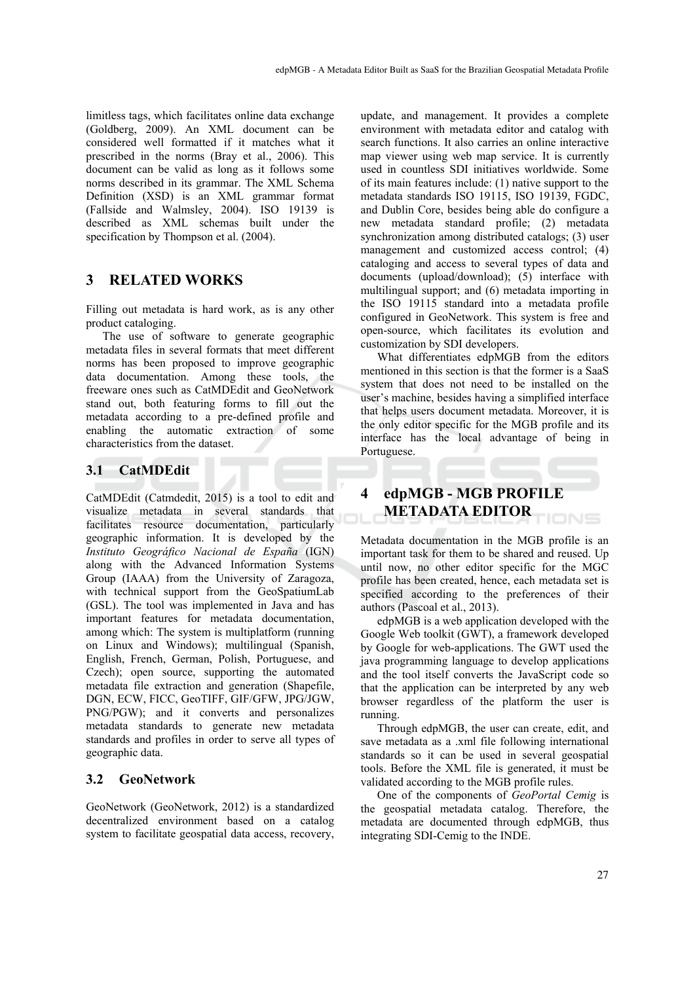limitless tags, which facilitates online data exchange (Goldberg, 2009). An XML document can be considered well formatted if it matches what it prescribed in the norms (Bray et al., 2006). This document can be valid as long as it follows some norms described in its grammar. The XML Schema Definition (XSD) is an XML grammar format (Fallside and Walmsley, 2004). ISO 19139 is described as XML schemas built under the specification by Thompson et al.  $(2004)$ .

# **3 RELATED WORKS**

Filling out metadata is hard work, as is any other product cataloging.

The use of software to generate geographic metadata files in several formats that meet different norms has been proposed to improve geographic data documentation. Among these tools, the freeware ones such as CatMDEdit and GeoNetwork stand out, both featuring forms to fill out the metadata according to a pre-defined profile and enabling the automatic extraction of some characteristics from the dataset.

### **3.1 CatMDEdit**

CatMDEdit (Catmdedit, 2015) is a tool to edit and visualize metadata in several standards that facilitates resource documentation, particularly geographic information. It is developed by the *Instituto Geográfico Nacional de España* (IGN) along with the Advanced Information Systems Group (IAAA) from the University of Zaragoza, with technical support from the GeoSpatiumLab (GSL). The tool was implemented in Java and has important features for metadata documentation, among which: The system is multiplatform (running on Linux and Windows); multilingual (Spanish, English, French, German, Polish, Portuguese, and Czech); open source, supporting the automated metadata file extraction and generation (Shapefile, DGN, ECW, FICC, GeoTIFF, GIF/GFW, JPG/JGW, PNG/PGW); and it converts and personalizes metadata standards to generate new metadata standards and profiles in order to serve all types of geographic data.

### **3.2 GeoNetwork**

GeoNetwork (GeoNetwork, 2012) is a standardized decentralized environment based on a catalog system to facilitate geospatial data access, recovery,

update, and management. It provides a complete environment with metadata editor and catalog with search functions. It also carries an online interactive map viewer using web map service. It is currently used in countless SDI initiatives worldwide. Some of its main features include: (1) native support to the metadata standards ISO 19115, ISO 19139, FGDC, and Dublin Core, besides being able do configure a new metadata standard profile; (2) metadata synchronization among distributed catalogs; (3) user management and customized access control; (4) cataloging and access to several types of data and documents (upload/download); (5) interface with multilingual support; and (6) metadata importing in the ISO 19115 standard into a metadata profile configured in GeoNetwork. This system is free and open-source, which facilitates its evolution and customization by SDI developers.

What differentiates edpMGB from the editors mentioned in this section is that the former is a SaaS system that does not need to be installed on the user's machine, besides having a simplified interface that helps users document metadata. Moreover, it is the only editor specific for the MGB profile and its interface has the local advantage of being in Portuguese.

#### **4 edpMGB - MGB PROFILE METADATA EDITOR**  IONS

Metadata documentation in the MGB profile is an important task for them to be shared and reused. Up until now, no other editor specific for the MGC profile has been created, hence, each metadata set is specified according to the preferences of their authors (Pascoal et al., 2013).

edpMGB is a web application developed with the Google Web toolkit (GWT), a framework developed by Google for web-applications. The GWT used the java programming language to develop applications and the tool itself converts the JavaScript code so that the application can be interpreted by any web browser regardless of the platform the user is running.

Through edpMGB, the user can create, edit, and save metadata as a .xml file following international standards so it can be used in several geospatial tools. Before the XML file is generated, it must be validated according to the MGB profile rules.

One of the components of *GeoPortal Cemig* is the geospatial metadata catalog. Therefore, the metadata are documented through edpMGB, thus integrating SDI-Cemig to the INDE.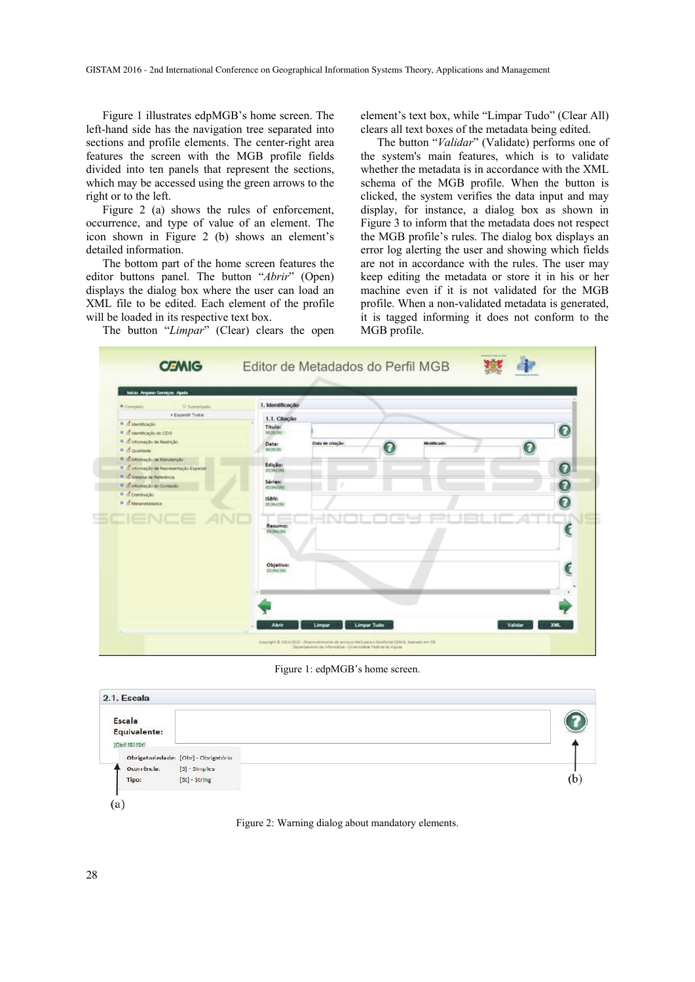Figure 1 illustrates edpMGB's home screen. The left-hand side has the navigation tree separated into sections and profile elements. The center-right area features the screen with the MGB profile fields divided into ten panels that represent the sections, which may be accessed using the green arrows to the right or to the left.

Figure 2 (a) shows the rules of enforcement, occurrence, and type of value of an element. The icon shown in Figure 2 (b) shows an element's detailed information.

The bottom part of the home screen features the editor buttons panel. The button "*Abrir*" (Open) displays the dialog box where the user can load an XML file to be edited. Each element of the profile will be loaded in its respective text box.

The button "*Limpar*" (Clear) clears the open

element's text box, while "Limpar Tudo" (Clear All) clears all text boxes of the metadata being edited.

The button "*Validar*" (Validate) performs one of the system's main features, which is to validate whether the metadata is in accordance with the XML schema of the MGB profile. When the button is clicked, the system verifies the data input and may display, for instance, a dialog box as shown in Figure 3 to inform that the metadata does not respect the MGB profile's rules. The dialog box displays an error log alerting the user and showing which fields are not in accordance with the rules. The user may keep editing the metadata or store it in his or her machine even if it is not validated for the MGB profile. When a non-validated metadata is generated, it is tagged informing it does not conform to the MGB profile.



Figure 1: edpMGB's home screen.

| <b>Escala</b><br><b>Equivalente:</b><br>[Obrl ISI ISt] |               |     |
|--------------------------------------------------------|---------------|-----|
| Obrigatoriedade: [Obr] - Obrigatório                   |               |     |
| Ocorrência:                                            | [S] - Simples |     |
| Tipo:                                                  | [St] - String | (b) |

Figure 2: Warning dialog about mandatory elements.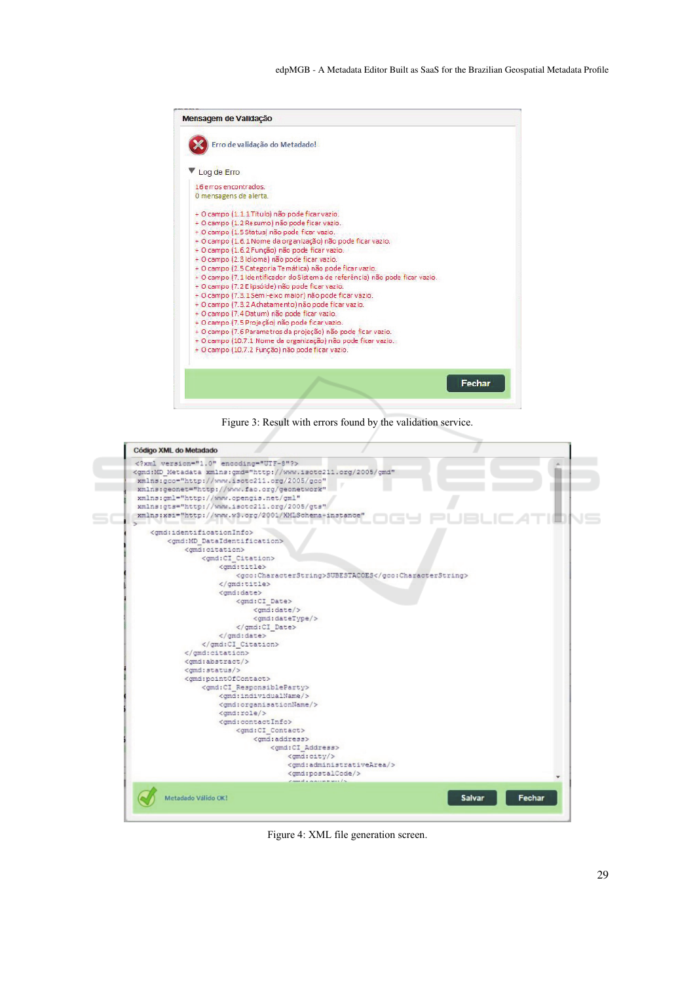

Figure 3: Result with errors found by the validation service.



Figure 4: XML file generation screen.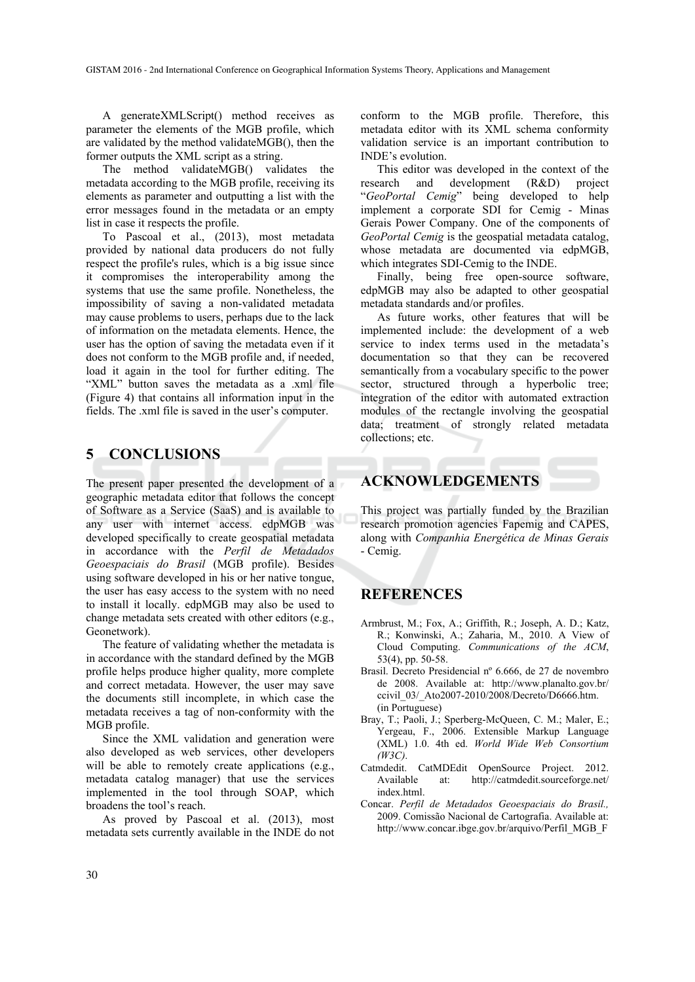A generateXMLScript() method receives as parameter the elements of the MGB profile, which are validated by the method validateMGB(), then the former outputs the XML script as a string.

The method validateMGB() validates the metadata according to the MGB profile, receiving its elements as parameter and outputting a list with the error messages found in the metadata or an empty list in case it respects the profile.

To Pascoal et al., (2013), most metadata provided by national data producers do not fully respect the profile's rules, which is a big issue since it compromises the interoperability among the systems that use the same profile. Nonetheless, the impossibility of saving a non-validated metadata may cause problems to users, perhaps due to the lack of information on the metadata elements. Hence, the user has the option of saving the metadata even if it does not conform to the MGB profile and, if needed, load it again in the tool for further editing. The "XML" button saves the metadata as a .xml file (Figure 4) that contains all information input in the fields. The .xml file is saved in the user's computer.

# **5 CONCLUSIONS**

The present paper presented the development of a geographic metadata editor that follows the concept of Software as a Service (SaaS) and is available to any user with internet access. edpMGB was developed specifically to create geospatial metadata in accordance with the *Perfil de Metadados Geoespaciais do Brasil* (MGB profile). Besides using software developed in his or her native tongue, the user has easy access to the system with no need to install it locally. edpMGB may also be used to change metadata sets created with other editors (e.g., Geonetwork).

The feature of validating whether the metadata is in accordance with the standard defined by the MGB profile helps produce higher quality, more complete and correct metadata. However, the user may save the documents still incomplete, in which case the metadata receives a tag of non-conformity with the MGB profile.

Since the XML validation and generation were also developed as web services, other developers will be able to remotely create applications (e.g., metadata catalog manager) that use the services implemented in the tool through SOAP, which broadens the tool's reach.

As proved by Pascoal et al. (2013), most metadata sets currently available in the INDE do not

conform to the MGB profile. Therefore, this metadata editor with its XML schema conformity validation service is an important contribution to INDE's evolution.

This editor was developed in the context of the research and development (R&D) project "*GeoPortal Cemig*" being developed to help implement a corporate SDI for Cemig - Minas Gerais Power Company. One of the components of *GeoPortal Cemig* is the geospatial metadata catalog, whose metadata are documented via edpMGB, which integrates SDI-Cemig to the INDE.

Finally, being free open-source software, edpMGB may also be adapted to other geospatial metadata standards and/or profiles.

As future works, other features that will be implemented include: the development of a web service to index terms used in the metadata's documentation so that they can be recovered semantically from a vocabulary specific to the power sector, structured through a hyperbolic tree; integration of the editor with automated extraction modules of the rectangle involving the geospatial data; treatment of strongly related metadata collections; etc.

# **ACKNOWLEDGEMENTS**

This project was partially funded by the Brazilian research promotion agencies Fapemig and CAPES, along with *Companhia Energética de Minas Gerais* - Cemig.

### **REFERENCES**

- Armbrust, M.; Fox, A.; Griffith, R.; Joseph, A. D.; Katz, R.; Konwinski, A.; Zaharia, M., 2010. A View of Cloud Computing. *Communications of the ACM*, 53(4), pp. 50-58.
- Brasil. Decreto Presidencial nº 6.666, de 27 de novembro de 2008. Available at: http://www.planalto.gov.br/ ccivil 03/ Ato2007-2010/2008/Decreto/D6666.htm. (in Portuguese)
- Bray, T.; Paoli, J.; Sperberg-McQueen, C. M.; Maler, E.; Yergeau, F., 2006. Extensible Markup Language (XML) 1.0. 4th ed. *World Wide Web Consortium (W3C)*.
- Catmdedit. CatMDEdit OpenSource Project. 2012. Available at: http://catmdedit.sourceforge.net/ index.html.
- Concar. *Perfil de Metadados Geoespaciais do Brasil.,* 2009. Comissão Nacional de Cartografia. Available at: http://www.concar.ibge.gov.br/arquivo/Perfil\_MGB\_F